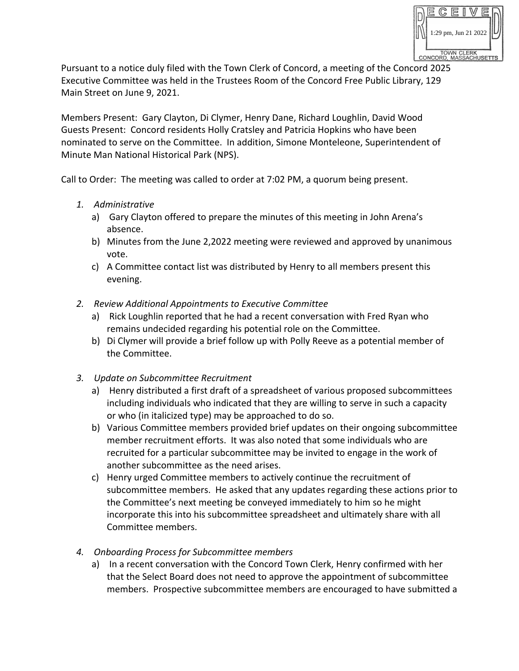

Pursuant to a notice duly filed with the Town Clerk of Concord, a meeting of the Concord 2025 Executive Committee was held in the Trustees Room of the Concord Free Public Library, 129 Main Street on June 9, 2021.

Members Present: Gary Clayton, Di Clymer, Henry Dane, Richard Loughlin, David Wood Guests Present: Concord residents Holly Cratsley and Patricia Hopkins who have been nominated to serve on the Committee. In addition, Simone Monteleone, Superintendent of Minute Man National Historical Park (NPS).

Call to Order: The meeting was called to order at 7:02 PM, a quorum being present.

- *1. Administrative*
	- a) Gary Clayton offered to prepare the minutes of this meeting in John Arena's absence.
	- b) Minutes from the June 2,2022 meeting were reviewed and approved by unanimous vote.
	- c) A Committee contact list was distributed by Henry to all members present this evening.
- *2. Review Additional Appointments to Executive Committee*
	- a) Rick Loughlin reported that he had a recent conversation with Fred Ryan who remains undecided regarding his potential role on the Committee.
	- b) Di Clymer will provide a brief follow up with Polly Reeve as a potential member of the Committee.
- *3. Update on Subcommittee Recruitment*
	- a) Henry distributed a first draft of a spreadsheet of various proposed subcommittees including individuals who indicated that they are willing to serve in such a capacity or who (in italicized type) may be approached to do so.
	- b) Various Committee members provided brief updates on their ongoing subcommittee member recruitment efforts. It was also noted that some individuals who are recruited for a particular subcommittee may be invited to engage in the work of another subcommittee as the need arises.
	- c) Henry urged Committee members to actively continue the recruitment of subcommittee members. He asked that any updates regarding these actions prior to the Committee's next meeting be conveyed immediately to him so he might incorporate this into his subcommittee spreadsheet and ultimately share with all Committee members.
- *4. Onboarding Process for Subcommittee members*
	- a) In a recent conversation with the Concord Town Clerk, Henry confirmed with her that the Select Board does not need to approve the appointment of subcommittee members. Prospective subcommittee members are encouraged to have submitted a